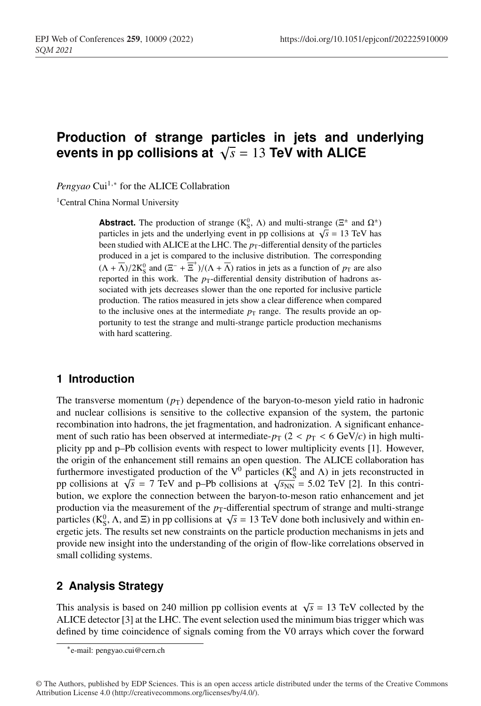# **Production of strange particles in jets and underlying** events in pp collisions at  $\sqrt{s} = 13$  TeV with ALICE

*Pengyao* Cui<sup>1,∗</sup> for the ALICE Collabration

<sup>1</sup>Central China Normal University

**Abstract.** The production of strange ( $K_S^0$ ,  $\Lambda$ ) and multi-strange ( $\Xi^{\pm}$  and  $\Omega^{\pm}$ ) particles in jets and the underlying event in pp collisions at  $\sqrt{s}$  = 13 TeV has been studied with ALICE at the LHC. The  $p_T$ -differential density of the particles produced in a jet is compared to the inclusive distribution. The corresponding  $(\Lambda + \overline{\Lambda})/2K_S^0$  and  $(\Xi^- + \overline{\Xi}^+)/(\Lambda + \overline{\Lambda})$  ratios in jets as a function of  $p_T$  are also reported in this work. The  $p_T$ -differential density distribution of hadrons associated with jets decreases slower than the one reported for inclusive particle production. The ratios measured in jets show a clear difference when compared to the inclusive ones at the intermediate  $p<sub>T</sub>$  range. The results provide an opportunity to test the strange and multi-strange particle production mechanisms with hard scattering.

## **1 Introduction**

The transverse momentum  $(p_T)$  dependence of the baryon-to-meson yield ratio in hadronic and nuclear collisions is sensitive to the collective expansion of the system, the partonic recombination into hadrons, the jet fragmentation, and hadronization. A significant enhancement of such ratio has been observed at intermediate- $p_T$  ( $2 < p_T < 6$  GeV/c) in high multiplicity pp and p–Pb collision events with respect to lower multiplicity events [1]. However, the origin of the enhancement still remains an open question. The ALICE collaboration has furthermore investigated production of the  $V^0$  particles ( $K^0$  and  $\Lambda$ ) in jets reconstructed in pp collisions at  $\sqrt{s}$  = 7 TeV and p–Pb collisions at  $\sqrt{s_{NN}}$  = 5.02 TeV [2]. In this contribution, we explore the connection between the baryon-to-meson ratio enhancement and jet production via the measurement of the  $p_T$ -differential spectrum of strange and multi-strange particles (K<sup>0</sup><sub>S</sub>,  $\Lambda$ , and  $\Xi$ ) in pp collisions at  $\sqrt{s} = 13$  TeV done both inclusively and within energetic jets. The results set new constraints on the particle production mechanisms in jets and provide new insight into the understanding of the origin of flow-like correlations observed in small colliding systems.

# **2 Analysis Strategy**

This analysis is based on 240 million pp collision events at  $\sqrt{s}$  = 13 TeV collected by the ALICE detector [3] at the LHC. The event selection used the minimum bias trigger which was defined by time coincidence of signals coming from the V0 arrays which cover the forward

<sup>∗</sup>e-mail: pengyao.cui@cern.ch

<sup>©</sup> The Authors, published by EDP Sciences. This is an open access article distributed under the terms of the Creative Commons Attribution License 4.0 (http://creativecommons.org/licenses/by/4.0/).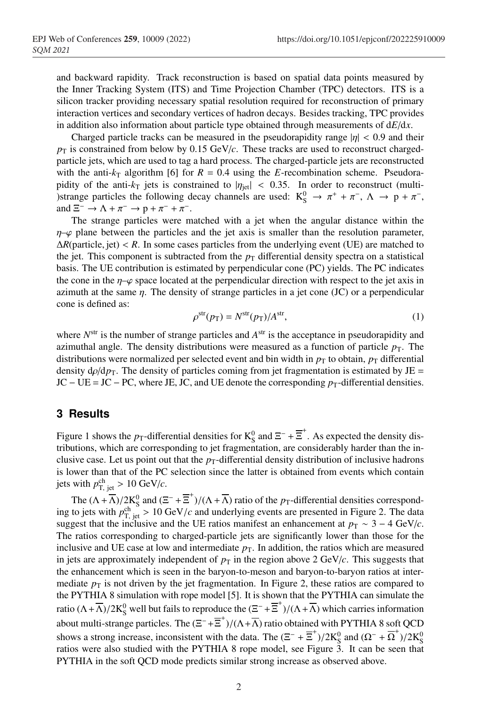and backward rapidity. Track reconstruction is based on spatial data points measured by the Inner Tracking System (ITS) and Time Projection Chamber (TPC) detectors. ITS is a silicon tracker providing necessary spatial resolution required for reconstruction of primary interaction vertices and secondary vertices of hadron decays. Besides tracking, TPC provides in addition also information about particle type obtained through measurements of d*E*/d*x*.

Charged particle tracks can be measured in the pseudorapidity range  $|\eta| < 0.9$  and their  $p_T$  is constrained from below by 0.15 GeV/*c*. These tracks are used to reconstruct chargedparticle jets, which are used to tag a hard process. The charged-particle jets are reconstructed with the anti- $k_T$  algorithm [6] for  $R = 0.4$  using the *E*-recombination scheme. Pseudorapidity of the anti- $k_T$  jets is constrained to  $|\eta_{\text{jet}}| < 0.35$ . In order to reconstruct (multi-)strange particles the following decay channels are used:  $K_S^0 \rightarrow \pi^+ + \pi^-$ ,  $\Lambda \rightarrow p + \pi^-$ , and  $\Xi^ \rightarrow$   $\Lambda$  +  $\pi^ \rightarrow$   $p$  +  $\pi^-$  +  $\pi^-$ .

The strange particles were matched with a jet when the angular distance within the  $\eta$ – $\varphi$  plane between the particles and the jet axis is smaller than the resolution parameter,  $\Delta R$ (particle, jet) < *R*. In some cases particles from the underlying event (UE) are matched to the jet. This component is subtracted from the  $p<sub>T</sub>$  differential density spectra on a statistical basis. The UE contribution is estimated by perpendicular cone (PC) yields. The PC indicates the cone in the  $\eta$ – $\varphi$  space located at the perpendicular direction with respect to the jet axis in azimuth at the same  $\eta$ . The density of strange particles in a jet cone (JC) or a perpendicular cone is defined as:

$$
\rho^{\text{str}}(p_{\text{T}}) = N^{\text{str}}(p_{\text{T}})/A^{\text{str}},\tag{1}
$$

where  $N<sup>str</sup>$  is the number of strange particles and  $A<sup>str</sup>$  is the acceptance in pseudorapidity and azimuthal angle. The density distributions were measured as a function of particle  $p<sub>T</sub>$ . The distributions were normalized per selected event and bin width in  $p<sub>T</sub>$  to obtain,  $p<sub>T</sub>$  differential density  $d\rho/dp$ <sub>T</sub>. The density of particles coming from jet fragmentation is estimated by JE =  $JC - UE = JC - PC$ , where JE, JC, and UE denote the corresponding  $p_T$ -differential densities.

### **3 Results**

Figure 1 shows the *p*<sub>T</sub>-differential densities for  $K_S^0$  and  $\Xi^-$  +  $\overline{\Xi}^+$ . As expected the density distributions, which are corresponding to jet fragmentation, are considerably harder than the inclusive case. Let us point out that the  $p<sub>T</sub>$ -differential density distribution of inclusive hadrons is lower than that of the PC selection since the latter is obtained from events which contain jets with  $p_{\text{T, jet}}^{\text{ch}} > 10 \text{ GeV}/c$ .

The  $(\Lambda + \overline{\Lambda})/2K_S^0$  and  $(\Xi^- + \overline{\Xi}^+)/(\Lambda + \overline{\Lambda})$  ratio of the *p*<sub>T</sub>-differential densities corresponding to jets with  $p_{\rm T, jet}^{\rm ch} > 10 \text{ GeV}/c$  and underlying events are presented in Figure 2. The data suggest that the inclusive and the UE ratios manifest an enhancement at  $p_T \sim 3 - 4 \text{ GeV}/c$ . The ratios corresponding to charged-particle jets are significantly lower than those for the inclusive and UE case at low and intermediate  $p<sub>T</sub>$ . In addition, the ratios which are measured in jets are approximately independent of  $p<sub>T</sub>$  in the region above 2 GeV/ $c$ . This suggests that the enhancement which is seen in the baryon-to-meson and baryon-to-baryon ratios at intermediate  $p<sub>T</sub>$  is not driven by the jet fragmentation. In Figure 2, these ratios are compared to the PYTHIA 8 simulation with rope model [5]. It is shown that the PYTHIA can simulate the ratio  $(\Lambda + \overline{\Lambda})/2K_S^0$  well but fails to reproduce the  $(\Xi^- + \overline{\Xi}^+)/(\Lambda + \overline{\Lambda})$  which carries information about multi-strange particles. The  $(\Xi^- + \overline{\Xi}^+)/(\Lambda + \overline{\Lambda})$  ratio obtained with PYTHIA 8 soft QCD shows a strong increase, inconsistent with the data. The  $(\Xi^- + \overline{\Xi}^+)/2K_S^0$  and  $(\Omega^- + \overline{\Omega}^+)/2K_S^0$ ratios were also studied with the PYTHIA 8 rope model, see Figure 3. It can be seen that PYTHIA in the soft QCD mode predicts similar strong increase as observed above.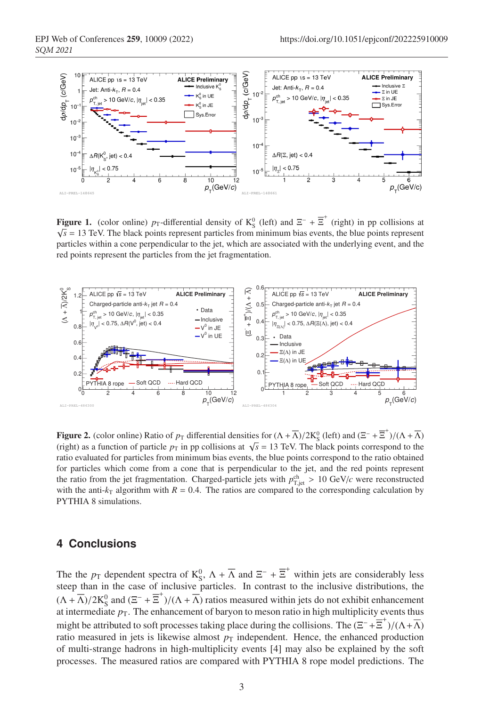

**Figure 1.** (color online)  $p_T$ -differential density of  $K_S^0$  (left) and  $\Xi^-$  +  $\overline{\Xi}^+$  (right) in pp collisions at  $\sqrt{s}$  = 13 TeV. The black points represent particles from minimum bias events, the blue points represent particles within a cone perpendicular to the jet, which are associated with the underlying event, and the red points represent the particles from the jet fragmentation.



**Figure 2.** (color online) Ratio of  $p_T$  differential densities for  $(\Lambda + \overline{\Lambda})/2K_S^0$  (left) and  $(\Xi^- + \overline{\Xi}^+)/(\Lambda + \overline{\Lambda})$ (right) as a function of particle  $p<sub>T</sub>$  in pp collisions at  $\sqrt{s} = 13$  TeV. The black points correspond to the ratio evaluated for particles from minimum bias events, the blue points correspond to the ratio obtained for particles which come from a cone that is perpendicular to the jet, and the red points represent the ratio from the jet fragmentation. Charged-particle jets with  $p_{\text{T,jet}}^{\text{ch}} > 10 \text{ GeV}/c$  were reconstructed with the anti- $k_T$  algorithm with  $R = 0.4$ . The ratios are compared to the corresponding calculation by PYTHIA 8 simulations.

### **4 Conclusions**

The the  $p_T$  dependent spectra of  $K_S^0$ ,  $\Lambda + \overline{\Lambda}$  and  $\Xi^- + \overline{\Xi}^+$  within jets are considerably less steep than in the case of inclusive particles. In contrast to the inclusive distributions, the  $(\Lambda + \overline{\Lambda})/2K_S^0$  and  $(\Xi^- + \overline{\Xi}^+)/(\Lambda + \overline{\Lambda})$  ratios measured within jets do not exhibit enhancement at intermediate  $p<sub>T</sub>$ . The enhancement of baryon to meson ratio in high multiplicity events thus might be attributed to soft processes taking place during the collisions. The  $(\Xi^- + \overline{\Xi}^+)/(\Lambda + \overline{\Lambda})$ ratio measured in jets is likewise almost  $p<sub>T</sub>$  independent. Hence, the enhanced production of multi-strange hadrons in high-multiplicity events [4] may also be explained by the soft processes. The measured ratios are compared with PYTHIA 8 rope model predictions. The